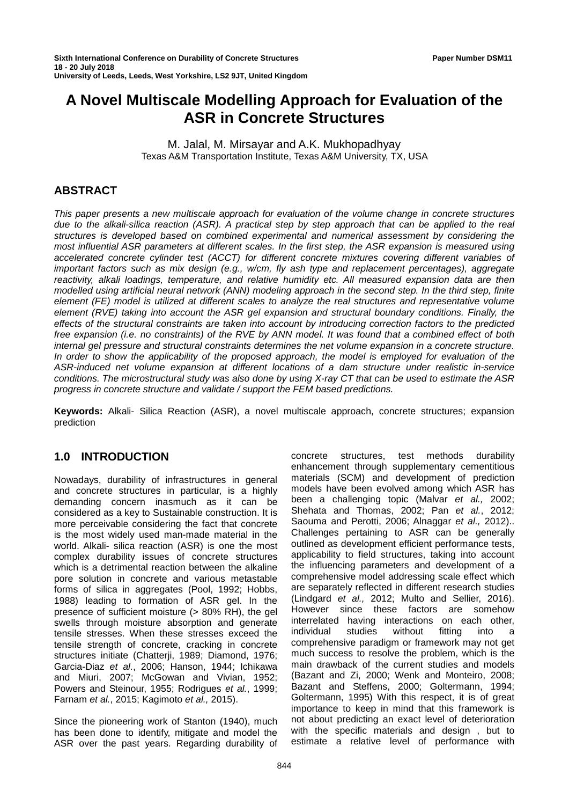# **A Novel Multiscale Modelling Approach for Evaluation of the ASR in Concrete Structures**

M. Jalal, M. Mirsayar and A.K. Mukhopadhyay Texas A&M Transportation Institute, Texas A&M University, TX, USA

## **ABSTRACT**

*This paper presents a new multiscale approach for evaluation of the volume change in concrete structures due to the alkali-silica reaction (ASR). A practical step by step approach that can be applied to the real structures is developed based on combined experimental and numerical assessment by considering the most influential ASR parameters at different scales. In the first step, the ASR expansion is measured using accelerated concrete cylinder test (ACCT) for different concrete mixtures covering different variables of important factors such as mix design (e.g., w/cm, fly ash type and replacement percentages), aggregate reactivity, alkali loadings, temperature, and relative humidity etc. All measured expansion data are then modelled using artificial neural network (ANN) modeling approach in the second step. In the third step, finite element (FE) model is utilized at different scales to analyze the real structures and representative volume element (RVE) taking into account the ASR gel expansion and structural boundary conditions. Finally, the effects of the structural constraints are taken into account by introducing correction factors to the predicted free expansion (i.e. no constraints) of the RVE by ANN model. It was found that a combined effect of both internal gel pressure and structural constraints determines the net volume expansion in a concrete structure. In order to show the applicability of the proposed approach, the model is employed for evaluation of the ASR-induced net volume expansion at different locations of a dam structure under realistic in-service conditions. The microstructural study was also done by using X-ray CT that can be used to estimate the ASR progress in concrete structure and validate / support the FEM based predictions.*

**Keywords:** Alkali- Silica Reaction (ASR), a novel multiscale approach, concrete structures; expansion prediction

## **1.0 INTRODUCTION**

Nowadays, durability of infrastructures in general and concrete structures in particular, is a highly demanding concern inasmuch as it can be considered as a key to Sustainable construction. It is more perceivable considering the fact that concrete is the most widely used man-made material in the world. Alkali- silica reaction (ASR) is one the most complex durability issues of concrete structures which is a detrimental reaction between the alkaline pore solution in concrete and various metastable forms of silica in aggregates (Pool, 1992; Hobbs, 1988) leading to formation of ASR gel. In the presence of sufficient moisture (> 80% RH), the gel swells through moisture absorption and generate tensile stresses. When these stresses exceed the tensile strength of concrete, cracking in concrete structures initiate (Chatterji, 1989; Diamond, 1976; Garcia-Diaz *et al.*, 2006; Hanson, 1944; Ichikawa and Miuri, 2007; McGowan and Vivian, 1952; Powers and Steinour, 1955; Rodrigues *et al.*, 1999; Farnam *et al.*, 2015; Kagimoto *et al.,* 2015).

Since the pioneering work of Stanton (1940), much has been done to identify, mitigate and model the ASR over the past years. Regarding durability of

concrete structures, test methods durability enhancement through supplementary cementitious materials (SCM) and development of prediction models have been evolved among which ASR has been a challenging topic (Malvar *et al.,* 2002; Shehata and Thomas, 2002; Pan *et al.*, 2012; Saouma and Perotti, 2006; Alnaggar *et al.,* 2012).. Challenges pertaining to ASR can be generally outlined as development efficient performance tests, applicability to field structures, taking into account the influencing parameters and development of a comprehensive model addressing scale effect which are separately reflected in different research studies (Lindgard *et al.,* 2012; Multo and Sellier, 2016). However since these factors are somehow interrelated having interactions on each other, individual studies without fitting into a comprehensive paradigm or framework may not get much success to resolve the problem, which is the main drawback of the current studies and models (Bazant and Zi, 2000; Wenk and Monteiro, 2008; Bazant and Steffens, 2000; Goltermann, 1994; Goltermann, 1995) With this respect, it is of great importance to keep in mind that this framework is not about predicting an exact level of deterioration with the specific materials and design , but to estimate a relative level of performance with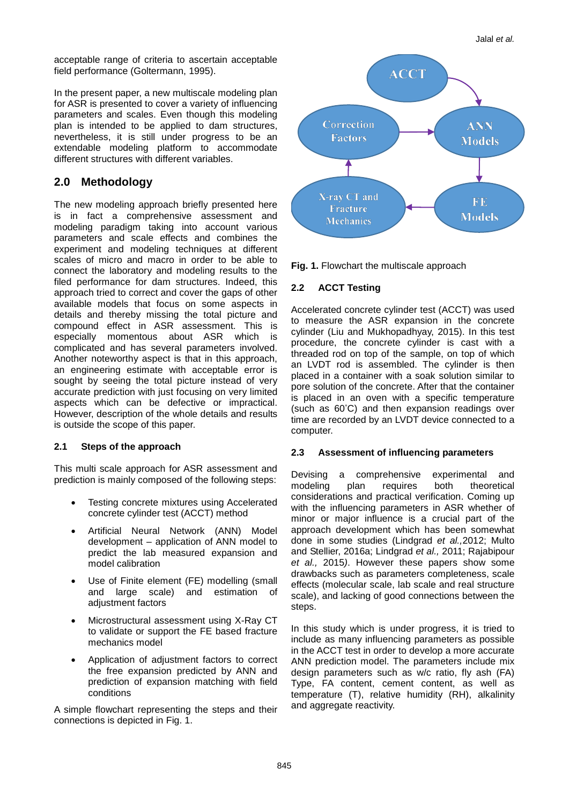acceptable range of criteria to ascertain acceptable field performance (Goltermann, 1995).

In the present paper, a new multiscale modeling plan for ASR is presented to cover a variety of influencing parameters and scales. Even though this modeling plan is intended to be applied to dam structures, nevertheless, it is still under progress to be an extendable modeling platform to accommodate different structures with different variables.

# **2.0 Methodology**

The new modeling approach briefly presented here is in fact a comprehensive assessment and modeling paradigm taking into account various parameters and scale effects and combines the experiment and modeling techniques at different scales of micro and macro in order to be able to connect the laboratory and modeling results to the filed performance for dam structures. Indeed, this approach tried to correct and cover the gaps of other available models that focus on some aspects in details and thereby missing the total picture and compound effect in ASR assessment. This is especially momentous about ASR which is complicated and has several parameters involved. Another noteworthy aspect is that in this approach, an engineering estimate with acceptable error is sought by seeing the total picture instead of very accurate prediction with just focusing on very limited aspects which can be defective or impractical. However, description of the whole details and results is outside the scope of this paper.

### **2.1 Steps of the approach**

This multi scale approach for ASR assessment and prediction is mainly composed of the following steps:

- Testing concrete mixtures using Accelerated concrete cylinder test (ACCT) method
- Artificial Neural Network (ANN) Model development – application of ANN model to predict the lab measured expansion and model calibration
- Use of Finite element (FE) modelling (small and large scale) and estimation of adjustment factors
- Microstructural assessment using X-Ray CT to validate or support the FE based fracture mechanics model
- Application of adjustment factors to correct the free expansion predicted by ANN and prediction of expansion matching with field conditions

A simple flowchart representing the steps and their connections is depicted in Fig. 1.



**Fig. 1.** Flowchart the multiscale approach

### **2.2 ACCT Testing**

Accelerated concrete cylinder test (ACCT) was used to measure the ASR expansion in the concrete cylinder (Liu and Mukhopadhyay, 2015). In this test procedure, the concrete cylinder is cast with a threaded rod on top of the sample, on top of which an LVDT rod is assembled. The cylinder is then placed in a container with a soak solution similar to pore solution of the concrete. After that the container is placed in an oven with a specific temperature (such as 60° C) and then expansion readings over time are recorded by an LVDT device connected to a computer.

### **2.3 Assessment of influencing parameters**

Devising a comprehensive experimental and<br>modeling plan requires both theoretical theoretical considerations and practical verification. Coming up with the influencing parameters in ASR whether of minor or major influence is a crucial part of the approach development which has been somewhat done in some studies (Lindgrad *et al.,*2012; Multo and Stellier, 2016a; Lindgrad *et al.,* 2011; Rajabipour *et al.,* 2015*)*. However these papers show some drawbacks such as parameters completeness, scale effects (molecular scale, lab scale and real structure scale), and lacking of good connections between the steps.

In this study which is under progress, it is tried to include as many influencing parameters as possible in the ACCT test in order to develop a more accurate ANN prediction model. The parameters include mix design parameters such as w/c ratio, fly ash (FA) Type, FA content, cement content, as well as temperature (T), relative humidity (RH), alkalinity and aggregate reactivity.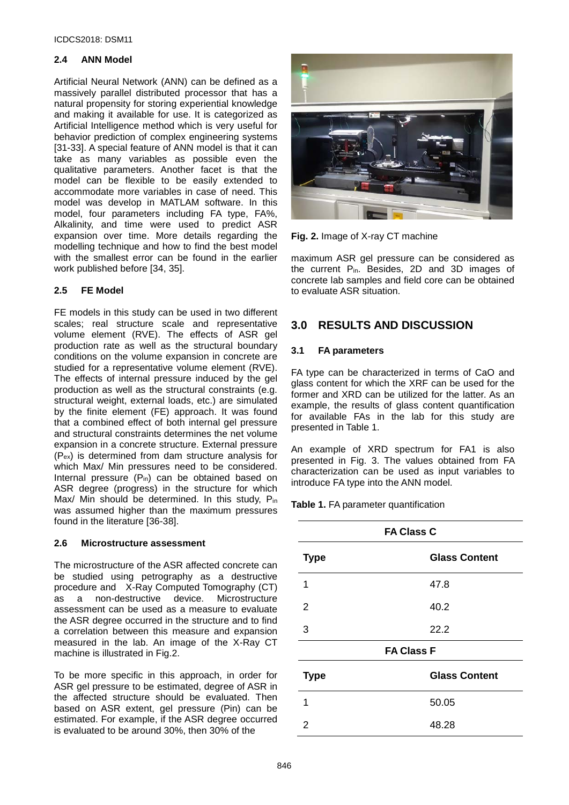#### **2.4 ANN Model**

Artificial Neural Network (ANN) can be defined as a massively parallel distributed processor that has a natural propensity for storing experiential knowledge and making it available for use. It is categorized as Artificial Intelligence method which is very useful for behavior prediction of complex engineering systems [31-33]. A special feature of ANN model is that it can take as many variables as possible even the qualitative parameters. Another facet is that the model can be flexible to be easily extended to accommodate more variables in case of need. This model was develop in MATLAM software. In this model, four parameters including FA type, FA%, Alkalinity, and time were used to predict ASR expansion over time. More details regarding the modelling technique and how to find the best model with the smallest error can be found in the earlier work published before [34, 35].

#### **2.5 FE Model**

FE models in this study can be used in two different scales; real structure scale and representative volume element (RVE). The effects of ASR gel production rate as well as the structural boundary conditions on the volume expansion in concrete are studied for a representative volume element (RVE). The effects of internal pressure induced by the gel production as well as the structural constraints (e.g. structural weight, external loads, etc.) are simulated by the finite element (FE) approach. It was found that a combined effect of both internal gel pressure and structural constraints determines the net volume expansion in a concrete structure. External pressure (Pex) is determined from dam structure analysis for which Max/ Min pressures need to be considered. Internal pressure (P<sub>in</sub>) can be obtained based on ASR degree (progress) in the structure for which Max/ Min should be determined. In this study, Pin was assumed higher than the maximum pressures found in the literature [36-38].

#### **2.6 Microstructure assessment**

The microstructure of the ASR affected concrete can be studied using petrography as a destructive procedure and X-Ray Computed Tomography (CT) as a non-destructive device. Microstructure assessment can be used as a measure to evaluate the ASR degree occurred in the structure and to find a correlation between this measure and expansion measured in the lab. An image of the X-Ray CT machine is illustrated in Fig.2.

To be more specific in this approach, in order for ASR gel pressure to be estimated, degree of ASR in the affected structure should be evaluated. Then based on ASR extent, gel pressure (Pin) can be estimated. For example, if the ASR degree occurred is evaluated to be around 30%, then 30% of the



**Fig. 2.** Image of X-ray CT machine

maximum ASR gel pressure can be considered as the current Pin. Besides, 2D and 3D images of concrete lab samples and field core can be obtained to evaluate ASR situation.

## **3.0 RESULTS AND DISCUSSION**

#### **3.1 FA parameters**

FA type can be characterized in terms of CaO and glass content for which the XRF can be used for the former and XRD can be utilized for the latter. As an example, the results of glass content quantification for available FAs in the lab for this study are presented in Table 1.

An example of XRD spectrum for FA1 is also presented in Fig. 3. The values obtained from FA characterization can be used as input variables to introduce FA type into the ANN model.

**Table 1.** FA parameter quantification

| <b>FA Class C</b> |                      |  |
|-------------------|----------------------|--|
| <b>Type</b>       | <b>Glass Content</b> |  |
| 1                 | 47.8                 |  |
| 2                 | 40.2                 |  |
| 3                 | 22.2                 |  |
| <b>FA Class F</b> |                      |  |
| <b>Type</b>       | <b>Glass Content</b> |  |
| 1                 | 50.05                |  |
| 2                 | 48.28                |  |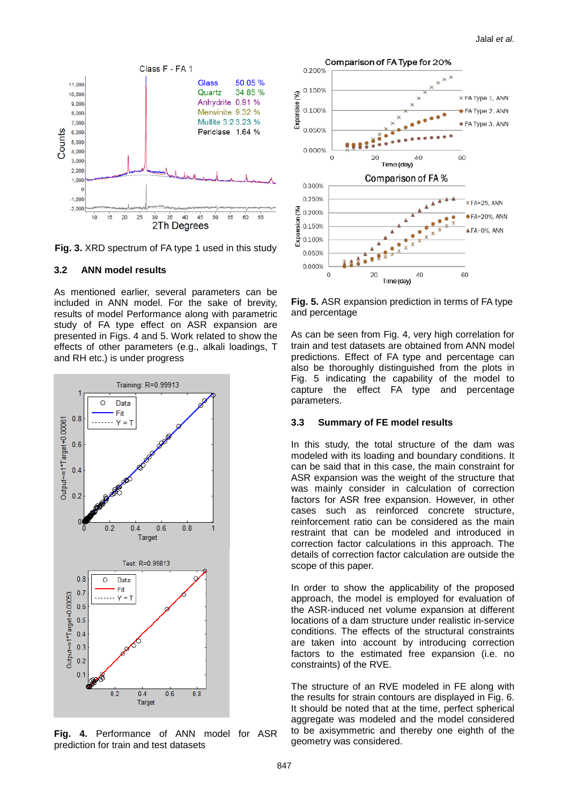

**Fig. 3.** XRD spectrum of FA type 1 used in this study

#### **3.2 ANN model results**

As mentioned earlier, several parameters can be included in ANN model. For the sake of brevity, results of model Performance along with parametric study of FA type effect on ASR expansion are presented in Figs. 4 and 5. Work related to show the effects of other parameters (e.g., alkali loadings, T and RH etc.) is under progress



**Fig. 4.** Performance of ANN model for ASR prediction for train and test datasets



**Fig. 5.** ASR expansion prediction in terms of FA type and percentage

As can be seen from Fig. 4, very high correlation for train and test datasets are obtained from ANN model predictions. Effect of FA type and percentage can also be thoroughly distinguished from the plots in Fig. 5 indicating the capability of the model to capture the effect FA type and percentage parameters.

#### **3.3 Summary of FE model results**

In this study, the total structure of the dam was modeled with its loading and boundary conditions. It can be said that in this case, the main constraint for ASR expansion was the weight of the structure that was mainly consider in calculation of correction factors for ASR free expansion. However, in other cases such as reinforced concrete structure, reinforcement ratio can be considered as the main restraint that can be modeled and introduced in correction factor calculations in this approach. The details of correction factor calculation are outside the scope of this paper.

In order to show the applicability of the proposed approach, the model is employed for evaluation of the ASR-induced net volume expansion at different locations of a dam structure under realistic in-service conditions. The effects of the structural constraints are taken into account by introducing correction factors to the estimated free expansion (i.e. no constraints) of the RVE.

The structure of an RVE modeled in FE along with the results for strain contours are displayed in Fig. 6. It should be noted that at the time, perfect spherical aggregate was modeled and the model considered to be axisymmetric and thereby one eighth of the geometry was considered.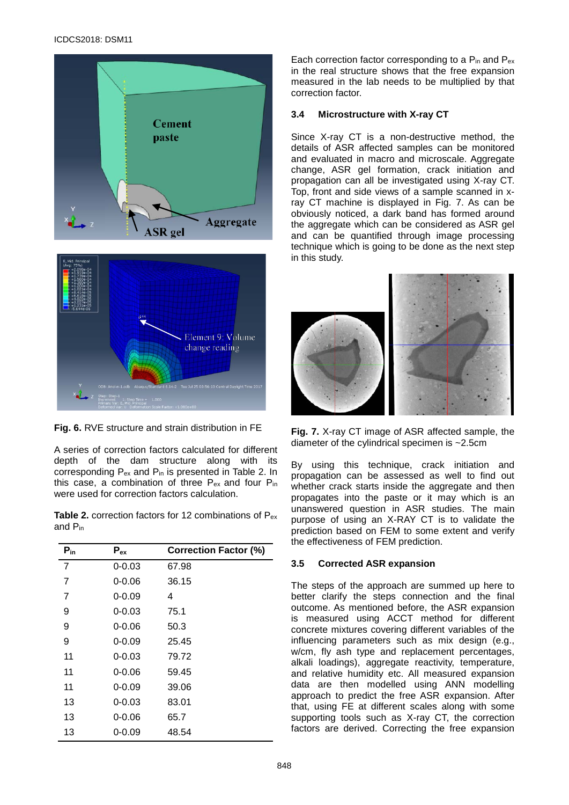



**Fig. 6.** RVE structure and strain distribution in FE

A series of correction factors calculated for different depth of the dam structure along with its corresponding Pex and Pin is presented in Table 2. In this case, a combination of three Pex and four Pin were used for correction factors calculation.

**Table 2.** correction factors for 12 combinations of Pex and Pin

| $P_{in}$       | $P_{ex}$   | <b>Correction Factor (%)</b> |
|----------------|------------|------------------------------|
| $\overline{7}$ | $0 - 0.03$ | 67.98                        |
| 7              | $0 - 0.06$ | 36.15                        |
| 7              | $0 - 0.09$ | 4                            |
| 9              | $0 - 0.03$ | 75.1                         |
| 9              | $0 - 0.06$ | 50.3                         |
| 9              | $0 - 0.09$ | 25.45                        |
| 11             | $0 - 0.03$ | 79.72                        |
| 11             | $0 - 0.06$ | 59.45                        |
| 11             | $0 - 0.09$ | 39.06                        |
| 13             | $0 - 0.03$ | 83.01                        |
| 13             | $0 - 0.06$ | 65.7                         |
| 13             | $0 - 0.09$ | 48.54                        |

Each correction factor corresponding to a Pin and Pex in the real structure shows that the free expansion measured in the lab needs to be multiplied by that correction factor.

#### **3.4 Microstructure with X-ray CT**

Since X-ray CT is a non-destructive method, the details of ASR affected samples can be monitored and evaluated in macro and microscale. Aggregate change, ASR gel formation, crack initiation and propagation can all be investigated using X-ray CT. Top, front and side views of a sample scanned in xray CT machine is displayed in Fig. 7. As can be obviously noticed, a dark band has formed around the aggregate which can be considered as ASR gel and can be quantified through image processing technique which is going to be done as the next step in this study.



**Fig. 7.** X-ray CT image of ASR affected sample, the diameter of the cylindrical specimen is ~2.5cm

By using this technique, crack initiation and propagation can be assessed as well to find out whether crack starts inside the aggregate and then propagates into the paste or it may which is an unanswered question in ASR studies. The main purpose of using an X-RAY CT is to validate the prediction based on FEM to some extent and verify the effectiveness of FEM prediction.

#### **3.5 Corrected ASR expansion**

The steps of the approach are summed up here to better clarify the steps connection and the final outcome. As mentioned before, the ASR expansion is measured using ACCT method for different concrete mixtures covering different variables of the influencing parameters such as mix design (e.g., w/cm, fly ash type and replacement percentages, alkali loadings), aggregate reactivity, temperature, and relative humidity etc. All measured expansion data are then modelled using ANN modelling approach to predict the free ASR expansion. After that, using FE at different scales along with some supporting tools such as X-ray CT, the correction factors are derived. Correcting the free expansion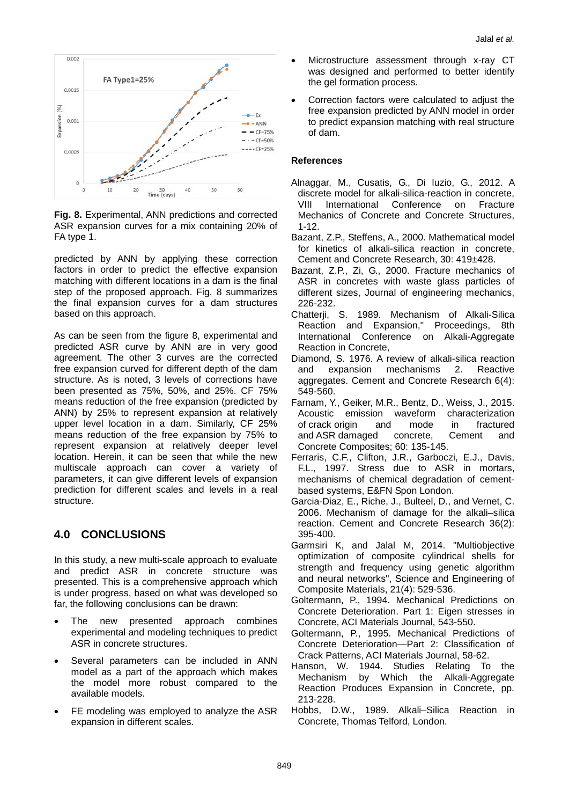

**Fig. 8.** Experimental, ANN predictions and corrected ASR expansion curves for a mix containing 20% of FA type 1.

predicted by ANN by applying these correction factors in order to predict the effective expansion matching with different locations in a dam is the final step of the proposed approach. Fig. 8 summarizes the final expansion curves for a dam structures based on this approach.

As can be seen from the figure 8, experimental and predicted ASR curve by ANN are in very good agreement. The other 3 curves are the corrected free expansion curved for different depth of the dam structure. As is noted, 3 levels of corrections have been presented as 75%, 50%, and 25%. CF 75% means reduction of the free expansion (predicted by ANN) by 25% to represent expansion at relatively upper level location in a dam. Similarly, CF 25% means reduction of the free expansion by 75% to represent expansion at relatively deeper level location. Herein, it can be seen that while the new multiscale approach can cover a variety of parameters, it can give different levels of expansion prediction for different scales and levels in a real structure.

# **4.0 CONCLUSIONS**

In this study, a new multi-scale approach to evaluate and predict ASR in concrete structure was presented. This is a comprehensive approach which is under progress, based on what was developed so far, the following conclusions can be drawn:

- The new presented approach combines experimental and modeling techniques to predict ASR in concrete structures.
- Several parameters can be included in ANN model as a part of the approach which makes the model more robust compared to the available models.
- FE modeling was employed to analyze the ASR expansion in different scales.
- Microstructure assessment through x-ray CT was designed and performed to better identify the gel formation process.
- Correction factors were calculated to adjust the free expansion predicted by ANN model in order to predict expansion matching with real structure of dam.

### **References**

- Alnaggar, M., Cusatis, G., Di luzio, G., 2012. A discrete model for alkali-silica-reaction in concrete,<br>VIII International Conference on Fracture International Conference Mechanics of Concrete and Concrete Structures, 1-12.
- Bazant, Z.P., Steffens, A., 2000. Mathematical model for kinetics of alkali-silica reaction in concrete, Cement and Concrete Research, 30: 419±428.
- Bazant, Z.P., Zi, G., 2000. Fracture mechanics of ASR in concretes with waste glass particles of different sizes, Journal of engineering mechanics, 226-232.
- Chatterji, S. 1989. Mechanism of Alkali-Silica Reaction and Expansion," Proceedings, 8th International Conference on Alkali-Aggregate Reaction in Concrete,
- Diamond, S. 1976. A review of alkali-silica reaction and expansion mechanisms 2. Reactive aggregates. Cement and Concrete Research 6(4): 549-560.
- Farnam, Y., Geiker, M.R., Bentz, D., Weiss, J., 2015. on waveform characterization<br>and mode in fractured of crack origin and mode in fractured<br>and ASR damaged concrete, Cement and and ASR damaged Concrete Composites; 60: 135-145.
- Ferraris, C.F., Clifton, J.R., Garboczi, E.J., Davis, F.L., 1997. Stress due to ASR in mortars, mechanisms of chemical degradation of cementbased systems, E&FN Spon London.
- Garcia-Diaz, E., Riche, J., Bulteel, D., and Vernet, C. 2006. Mechanism of damage for the alkali–silica reaction. Cement and Concrete Research 36(2): 395-400.
- Garmsiri K, and Jalal M, 2014. ["Multiobjective](https://scholar.google.com/citations?view_op=view_citation&hl=en&user=2748qbcAAAAJ&sortby=pubdate&citation_for_view=2748qbcAAAAJ:M3ejUd6NZC8C)  [optimization of composite cylindrical shells for](https://scholar.google.com/citations?view_op=view_citation&hl=en&user=2748qbcAAAAJ&sortby=pubdate&citation_for_view=2748qbcAAAAJ:M3ejUd6NZC8C)  [strength and frequency using genetic algorithm](https://scholar.google.com/citations?view_op=view_citation&hl=en&user=2748qbcAAAAJ&sortby=pubdate&citation_for_view=2748qbcAAAAJ:M3ejUd6NZC8C)  [and neural networks"](https://scholar.google.com/citations?view_op=view_citation&hl=en&user=2748qbcAAAAJ&sortby=pubdate&citation_for_view=2748qbcAAAAJ:M3ejUd6NZC8C), Science and Engineering of Composite Materials, 21(4): 529-536.
- Goltermann, P., 1994. Mechanical Predictions on Concrete Deterioration. Part 1: Eigen stresses in Concrete, ACI Materials Journal, 543-550.
- Goltermann, P., 1995. Mechanical Predictions of Concrete Deterioration—Part 2: Classification of Crack Patterns, ACI Materials Journal, 58-62.
- Hanson, W. 1944. Studies Relating To the Mechanism by Which the Alkali-Aggregate Reaction Produces Expansion in Concrete, pp. 213-228.
- Hobbs, D.W., 1989. Alkali–Silica Reaction in Concrete, Thomas Telford, London.